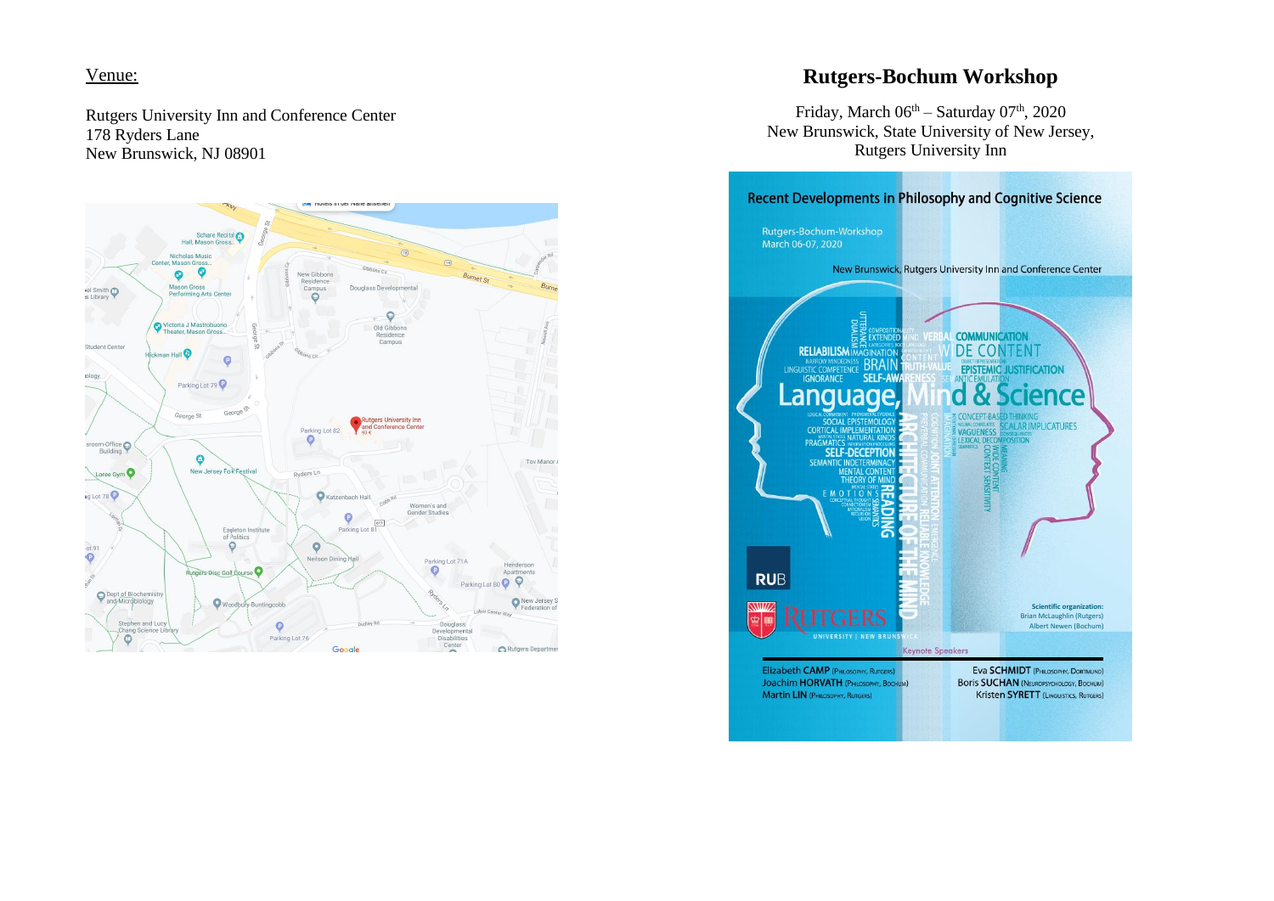## Venue:

Rutgers University Inn and Conference Center 178 Ryders Lane New Brunswick, NJ 08901



# **Rutgers-Bochum Workshop**

Friday, March  $06<sup>th</sup> - Saturday 07<sup>th</sup>$ , 2020 New Brunswick, State University of New Jersey, Rutgers University Inn